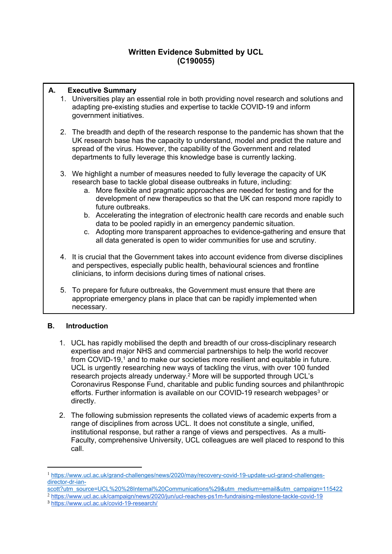# **Written Evidence Submitted by UCL (C190055)**

# **A. Executive Summary**

- 1. Universities play an essential role in both providing novel research and solutions and adapting pre-existing studies and expertise to tackle COVID-19 and inform government initiatives.
- 2. The breadth and depth of the research response to the pandemic has shown that the UK research base has the capacity to understand, model and predict the nature and spread of the virus. However, the capability of the Government and related departments to fully leverage this knowledge base is currently lacking.
- 3. We highlight a number of measures needed to fully leverage the capacity of UK research base to tackle global disease outbreaks in future, including:
	- a. More flexible and pragmatic approaches are needed for testing and for the development of new therapeutics so that the UK can respond more rapidly to future outbreaks.
	- b. Accelerating the integration of electronic health care records and enable such data to be pooled rapidly in an emergency pandemic situation.
	- c. Adopting more transparent approaches to evidence-gathering and ensure that all data generated is open to wider communities for use and scrutiny.
- 4. It is crucial that the Government takes into account evidence from diverse disciplines and perspectives, especially public health, behavioural sciences and frontline clinicians, to inform decisions during times of national crises.
- 5. To prepare for future outbreaks, the Government must ensure that there are appropriate emergency plans in place that can be rapidly implemented when necessary.

# **B. Introduction**

- 1. UCL has rapidly mobilised the depth and breadth of our cross-disciplinary research expertise and major NHS and commercial partnerships to help the world recover from COVID-19,<sup>1</sup> and to make our societies more resilient and equitable in future. UCL is urgently researching new ways of tackling the virus, with over 100 funded research projects already underway.<sup>2</sup> More will be supported through UCL's Coronavirus Response Fund, charitable and public funding sources and philanthropic efforts. Further information is available on our COVID-19 research webpages $3$  or directly.
- 2. The following submission represents the collated views of academic experts from a range of disciplines from across UCL. It does not constitute a single, unified, institutional response, but rather a range of views and perspectives. As a multi-Faculty, comprehensive University, UCL colleagues are well placed to respond to this call.

[scott?utm\\_source=UCL%20%28Internal%20Communications%29&utm\\_medium=email&utm\\_campaign=115422](https://www.ucl.ac.uk/grand-challenges/news/2020/may/recovery-covid-19-update-ucl-grand-challenges-director-dr-ian-scott?utm_source=UCL%20%28Internal%20Communications%29&utm_medium=email&utm_campaign=115422)

<sup>2</sup> <https://www.ucl.ac.uk/campaign/news/2020/jun/ucl-reaches-ps1m-fundraising-milestone-tackle-covid-19>

<sup>3</sup> <https://www.ucl.ac.uk/covid-19-research/>

<sup>1</sup> [https://www.ucl.ac.uk/grand-challenges/news/2020/may/recovery-covid-19-update-ucl-grand-challenges](https://www.ucl.ac.uk/grand-challenges/news/2020/may/recovery-covid-19-update-ucl-grand-challenges-director-dr-ian-scott?utm_source=UCL%20%28Internal%20Communications%29&utm_medium=email&utm_campaign=115422)[director-dr-ian-](https://www.ucl.ac.uk/grand-challenges/news/2020/may/recovery-covid-19-update-ucl-grand-challenges-director-dr-ian-scott?utm_source=UCL%20%28Internal%20Communications%29&utm_medium=email&utm_campaign=115422)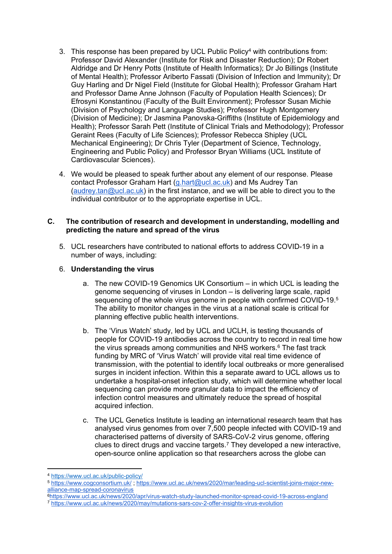- 3. This response has been prepared by UCL Public Policy<sup>4</sup> with contributions from: Professor David Alexander (Institute for Risk and Disaster Reduction); Dr Robert Aldridge and Dr Henry Potts (Institute of Health Informatics); Dr Jo Billings (Institute of Mental Health); Professor Ariberto Fassati (Division of Infection and Immunity); Dr Guy Harling and Dr Nigel Field (Institute for Global Health); Professor Graham Hart and Professor Dame Anne Johnson (Faculty of Population Health Sciences); Dr Efrosyni Konstantinou (Faculty of the Built Environment); Professor Susan Michie (Division of Psychology and Language Studies); Professor Hugh Montgomery (Division of Medicine); Dr Jasmina Panovska-Griffiths (Institute of Epidemiology and Health); Professor Sarah Pett (Institute of Clinical Trials and Methodology); Professor Geraint Rees (Faculty of Life Sciences); Professor Rebecca Shipley (UCL Mechanical Engineering); Dr Chris Tyler (Department of Science, Technology, Engineering and Public Policy) and Professor Bryan Williams (UCL Institute of Cardiovascular Sciences).
- 4. We would be pleased to speak further about any element of our response. Please contact Professor Graham Hart ([g.hart@ucl.ac.uk\)](mailto:g.hart@ucl.ac.uk) and Ms Audrey Tan ([audrey.tan@ucl.ac.uk](mailto:audrey.tan@ucl.ac.uk)) in the first instance, and we will be able to direct you to the individual contributor or to the appropriate expertise in UCL.

### **C. The contribution of research and development in understanding, modelling and predicting the nature and spread of the virus**

5. UCL researchers have contributed to national efforts to address COVID-19 in a number of ways, including:

# 6. **Understanding the virus**

- a. The new COVID-19 Genomics UK Consortium in which UCL is leading the genome sequencing of viruses in London – is delivering large scale, rapid sequencing of the whole virus genome in people with confirmed COVID-19.<sup>5</sup> The ability to monitor changes in the virus at a national scale is critical for planning effective public health interventions.
- b. The 'Virus Watch' study, led by UCL and UCLH, is testing thousands of people for COVID-19 antibodies across the country to record in real time how the virus spreads among communities and NHS workers.<sup>6</sup> The fast track funding by MRC of 'Virus Watch' will provide vital real time evidence of transmission, with the potential to identify local outbreaks or more generalised surges in incident infection. Within this a separate award to UCL allows us to undertake a hospital-onset infection study, which will determine whether local sequencing can provide more granular data to impact the efficiency of infection control measures and ultimately reduce the spread of hospital acquired infection.
- c. The UCL Genetics Institute is leading an international research team that has analysed virus genomes from over 7,500 people infected with COVID-19 and characterised patterns of diversity of SARS-CoV-2 virus genome, offering clues to direct drugs and vaccine targets.<sup>7</sup> They developed a new interactive, open-source online application so that researchers across the globe can

<sup>6</sup><https://www.ucl.ac.uk/news/2020/apr/virus-watch-study-launched-monitor-spread-covid-19-across-england> <sup>7</sup> <https://www.ucl.ac.uk/news/2020/may/mutations-sars-cov-2-offer-insights-virus-evolution>

<sup>4</sup> <https://www.ucl.ac.uk/public-policy/>

<sup>5</sup> <https://www.cogconsortium.uk/> ; [https://www.ucl.ac.uk/news/2020/mar/leading-ucl-scientist-joins-major-new](https://www.ucl.ac.uk/news/2020/mar/leading-ucl-scientist-joins-major-new-alliance-map-spread-coronavirus)[alliance-map-spread-coronavirus](https://www.ucl.ac.uk/news/2020/mar/leading-ucl-scientist-joins-major-new-alliance-map-spread-coronavirus)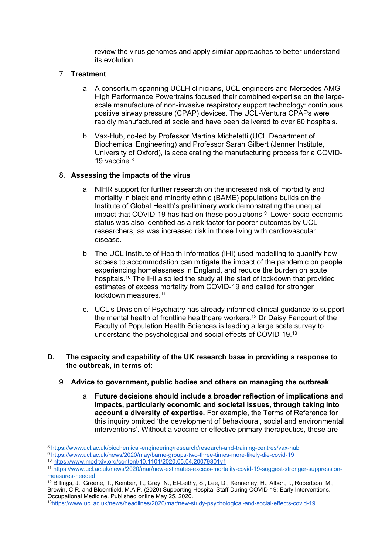review the virus genomes and apply similar approaches to better understand its evolution.

# 7. **Treatment**

- <span id="page-2-0"></span>a. A consortium spanning UCLH clinicians, UCL engineers and Mercedes AMG High Performance Powertrains focused their combined expertise on the largescale manufacture of non-invasive respiratory support technology: continuous positive airway pressure (CPAP) devices. The UCL-Ventura CPAPs were rapidly manufactured at scale and have been delivered to over 60 hospitals.
- b. Vax-Hub, co-led by Professor Martina Micheletti (UCL Department of Biochemical Engineering) and Professor Sarah Gilbert (Jenner Institute, University of Oxford), is accelerating the manufacturing process for a COVID-19 vaccine.<sup>8</sup>

# 8. **Assessing the impacts of the virus**

- a. NIHR support for further research on the increased risk of morbidity and mortality in black and minority ethnic (BAME) populations builds on the Institute of Global Health's preliminary work demonstrating the unequal impact that COVID-19 has had on these populations.<sup>9</sup> Lower socio-economic status was also identified as a risk factor for poorer outcomes by UCL researchers, as was increased risk in those living with cardiovascular disease.
- b. The UCL Institute of Health Informatics (IHI) used modelling to quantify how access to accommodation can mitigate the impact of the pandemic on people experiencing homelessness in England, and reduce the burden on acute hospitals.<sup>10</sup> The IHI also led the study at the start of lockdown that provided estimates of excess mortality from COVID-19 and called for stronger lockdown measures.<sup>11</sup>
- c. UCL's Division of Psychiatry has already informed clinical guidance to support the mental health of frontline healthcare workers.<sup>12</sup> Dr Daisy Fancourt of the Faculty of Population Health Sciences is leading a large scale survey to understand the psychological and social effects of COVID-19.<sup>13</sup>

#### **D. The capacity and capability of the UK research base in providing a response to the outbreak, in terms of:**

- 9. **Advice to government, public bodies and others on managing the outbreak**
	- a. **Future decisions should include a broader reflection of implications and impacts, particularly economic and societal issues, through taking into account a diversity of expertise.** For example, the Terms of Reference for this inquiry omitted 'the development of behavioural, social and environmental interventions'. Without a vaccine or effective primary therapeutics, these are

<sup>8</sup> <https://www.ucl.ac.uk/biochemical-engineering/research/research-and-training-centres/vax-hub>

<sup>9</sup> <https://www.ucl.ac.uk/news/2020/may/bame-groups-two-three-times-more-likely-die-covid-19>

<sup>10</sup> <https://www.medrxiv.org/content/10.1101/2020.05.04.20079301v1>

<sup>11</sup> [https://www.ucl.ac.uk/news/2020/mar/new-estimates-excess-mortality-covid-19-suggest-stronger-suppression](https://www.ucl.ac.uk/news/2020/mar/new-estimates-excess-mortality-covid-19-suggest-stronger-suppression-measures-needed)[measures-needed](https://www.ucl.ac.uk/news/2020/mar/new-estimates-excess-mortality-covid-19-suggest-stronger-suppression-measures-needed)

<sup>12</sup> Billings, J., Greene, T., Kember, T., Grey, N., El-Leithy, S., Lee, D., Kennerley, H., Albert, I., Robertson, M., Brewin, C.R. and Bloomfield, M.A.P. (2020) Supporting Hospital Staff During COVID-19: Early Interventions. Occupational Medicine. Published online May 25, 2020.

<sup>13</sup><https://www.ucl.ac.uk/news/headlines/2020/mar/new-study-psychological-and-social-effects-covid-19>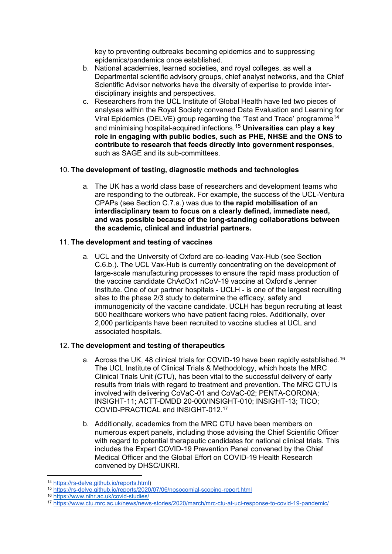key to preventing outbreaks becoming epidemics and to suppressing epidemics/pandemics once established.

- b. National academies, learned societies, and royal colleges, as well a Departmental scientific advisory groups, chief analyst networks, and the Chief Scientific Advisor networks have the diversity of expertise to provide interdisciplinary insights and perspectives.
- c. Researchers from the UCL Institute of Global Health have led two pieces of analyses within the Royal Society convened Data Evaluation and Learning for Viral Epidemics (DELVE) group regarding the 'Test and Trace' programme<sup>14</sup> and minimising hospital-acquired infections.<sup>15</sup> **Universities can play a key role in engaging with public bodies, such as PHE, NHSE and the ONS to contribute to research that feeds directly into government responses**, such as SAGE and its sub-committees.

# 10. **The development of testing, diagnostic methods and technologies**

a. The UK has a world class base of researchers and development teams who are responding to the outbreak. For example, the success of the UCL-Ventura CPAPs (see Section C.7.a.) was due to **the rapid mobilisation of an interdisciplinary team to focus on a clearly defined, immediate need, and was possible because of the long-standing collaborations between the academic, clinical and industrial partners.**

# 11. **The development and testing of vaccines**

a. UCL and the University of Oxford are co-leading Vax-Hub (see Section C.6.b.). The UCL Vax-Hub is currently concentrating on the development of large-scale manufacturing processes to ensure the rapid mass production of the vaccine candidate ChAdOx1 nCoV-19 vaccine at Oxford's Jenner Institute. One of our partner hospitals - UCLH - is one of the largest recruiting sites to the phase 2/3 study to determine the efficacy, safety and immunogenicity of the vaccine candidate. UCLH has begun recruiting at least 500 healthcare workers who have patient facing roles. Additionally, over 2,000 participants have been recruited to vaccine studies at UCL and associated hospitals.

# 12. **The development and testing of therapeutics**

- a. Across the UK, 48 clinical trials for COVID-19 have been rapidly established.<sup>16</sup> The UCL Institute of Clinical Trials & Methodology, which hosts the MRC Clinical Trials Unit (CTU), has been vital to the successful delivery of early results from trials with regard to treatment and prevention. The MRC CTU is involved with delivering CoVaC-01 and CoVaC-02; PENTA-CORONA; INSIGHT-11; ACTT-DMDD 20-000/INSIGHT-010; INSIGHT-13; TICO; COVID-PRACTICAL and INSIGHT-012.<sup>17</sup>
- b. Additionally, academics from the MRC CTU have been members on numerous expert panels, including those advising the Chief Scientific Officer with regard to potential therapeutic candidates for national clinical trials. This includes the Expert COVID-19 Prevention Panel convened by the Chief Medical Officer and the Global Effort on COVID-19 Health Research convened by DHSC/UKRI.

<sup>14</sup> [https://rs-delve.github.io/reports.html\)](https://eur01.safelinks.protection.outlook.com/?url=https%3A%2F%2Frs-delve.github.io%2Freports.html&data=02%7C01%7C%7C0da32c4a86654f999d8e08d8226495b0%7C1faf88fea9984c5b93c9210a11d9a5c2%7C0%7C0%7C637297162686117329&sdata=w8WaGdbmghjZwoSHC48N6H8sK0briY3QhNwKSxBmp64%3D&reserved=0)

<sup>15</sup> [https://rs-delve.github.io/reports/2020/07/06/nosocomial-scoping-report.html](https://eur01.safelinks.protection.outlook.com/?url=https%3A%2F%2Frs-delve.github.io%2Freports%2F2020%2F07%2F06%2Fnosocomial-scoping-report.html&data=02%7C01%7C%7C0da32c4a86654f999d8e08d8226495b0%7C1faf88fea9984c5b93c9210a11d9a5c2%7C0%7C0%7C637297162686127288&sdata=vzKlBZGWaFPSoBNhmDbCJ%2FgWJH7GYQ0P0yZs6zH%2BG4Y%3D&reserved=0)

<sup>16</sup> <https://www.nihr.ac.uk/covid-studies/>

<sup>17</sup> <https://www.ctu.mrc.ac.uk/news/news-stories/2020/march/mrc-ctu-at-ucl-response-to-covid-19-pandemic/>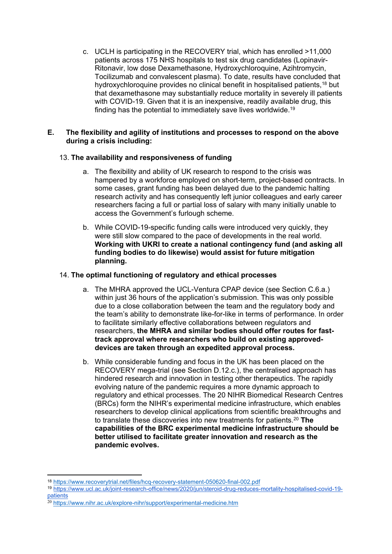c. UCLH is participating in the RECOVERY trial, which has enrolled >11,000 patients across 175 NHS hospitals to test six drug candidates (Lopinavir-Ritonavir, low dose Dexamethasone, Hydroxychloroquine, Azihtromycin, Tocilizumab and convalescent plasma). To date, results have concluded that hydroxychloroquine provides no clinical benefit in hospitalised patients,<sup>18</sup> but that dexamethasone may substantially reduce mortality in severely ill patients with COVID-19. Given that it is an inexpensive, readily available drug, this finding has the potential to immediately save lives worldwide.<sup>19</sup>

# **E. The flexibility and agility of institutions and processes to respond on the above during a crisis including:**

# 13. **The availability and responsiveness of funding**

- a. The flexibility and ability of UK research to respond to the crisis was hampered by a workforce employed on short-term, project-based contracts. In some cases, grant funding has been delayed due to the pandemic halting research activity and has consequently left junior colleagues and early career researchers facing a full or partial loss of salary with many initially unable to access the Government's furlough scheme.
- b. While COVID-19-specific funding calls were introduced very quickly, they were still slow compared to the pace of developments in the real world. **Working with UKRI to create a national contingency fund (and asking all funding bodies to do likewise) would assist for future mitigation planning.**

# 14. **The optimal functioning of regulatory and ethical processes**

- a. The MHRA approved the UCL-Ventura CPAP device (see Section C.6[.a](#page-2-0).) within just 36 hours of the application's submission. This was only possible due to a close collaboration between the team and the regulatory body and the team's ability to demonstrate like-for-like in terms of performance. In order to facilitate similarly effective collaborations between regulators and researchers, **the MHRA and similar bodies should offer routes for fasttrack approval where researchers who build on existing approveddevices are taken through an expedited approval process.**
- b. While considerable funding and focus in the UK has been placed on the RECOVERY mega-trial (see Section D.12.c.), the centralised approach has hindered research and innovation in testing other therapeutics. The rapidly evolving nature of the pandemic requires a more dynamic approach to regulatory and ethical processes. The 20 NIHR Biomedical Research Centres (BRCs) form the NIHR's experimental medicine infrastructure, which enables researchers to develop clinical applications from scientific breakthroughs and to translate these discoveries into new treatments for patients.<sup>20</sup> **The capabilities of the BRC experimental medicine infrastructure should be better utilised to facilitate greater innovation and research as the pandemic evolves.**

<sup>18</sup> <https://www.recoverytrial.net/files/hcq-recovery-statement-050620-final-002.pdf>

<sup>19</sup> [https://www.ucl.ac.uk/joint-research-office/news/2020/jun/steroid-drug-reduces-mortality-hospitalised-covid-19](https://www.ucl.ac.uk/joint-research-office/news/2020/jun/steroid-drug-reduces-mortality-hospitalised-covid-19-patients) [patients](https://www.ucl.ac.uk/joint-research-office/news/2020/jun/steroid-drug-reduces-mortality-hospitalised-covid-19-patients)

<sup>&</sup>lt;sup>20</sup> <https://www.nihr.ac.uk/explore-nihr/support/experimental-medicine.htm>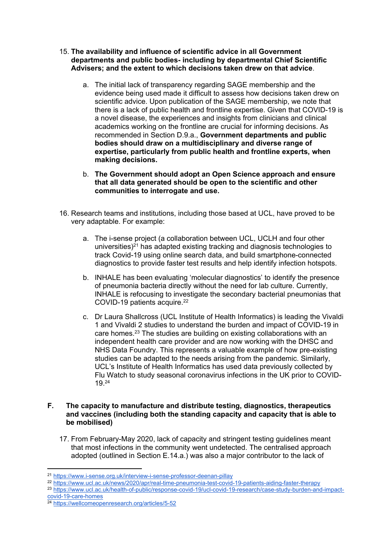- 15. **The availability and influence of scientific advice in all Government departments and public bodies- including by departmental Chief Scientific Advisers; and the extent to which decisions taken drew on that advice**.
	- a. The initial lack of transparency regarding SAGE membership and the evidence being used made it difficult to assess how decisions taken drew on scientific advice. Upon publication of the SAGE membership, we note that there is a lack of public health and frontline expertise. Given that COVID-19 is a novel disease, the experiences and insights from clinicians and clinical academics working on the frontline are crucial for informing decisions. As recommended in Section D.9.a., **Government departments and public bodies should draw on a multidisciplinary and diverse range of expertise, particularly from public health and frontline experts, when making decisions.**
	- b. **The Government should adopt an Open Science approach and ensure that all data generated should be open to the scientific and other communities to interrogate and use.**
- 16. Research teams and institutions, including those based at UCL, have proved to be very adaptable. For example:
	- a. The i-sense project (a collaboration between UCL, UCLH and four other universities)<sup>21</sup> has adapted existing tracking and diagnosis technologies to track Covid-19 using online search data, and build smartphone-connected diagnostics to provide faster test results and help identify infection hotspots.
	- b. INHALE has been evaluating 'molecular diagnostics' to identify the presence of pneumonia bacteria directly without the need for lab culture. Currently, INHALE is refocusing to investigate the secondary bacterial pneumonias that COVID-19 patients acquire.<sup>22</sup>
	- c. Dr Laura Shallcross (UCL Institute of Health Informatics) is leading the Vivaldi 1 and Vivaldi 2 studies to understand the burden and impact of COVID-19 in care homes.<sup>23</sup> The studies are building on existing collaborations with an independent health care provider and are now working with the DHSC and NHS Data Foundry. This represents a valuable example of how pre-existing studies can be adapted to the needs arising from the pandemic. Similarly, UCL's Institute of Health Informatics has used data previously collected by Flu Watch to study seasonal coronavirus infections in the UK prior to COVID-19.<sup>24</sup>

### **F. The capacity to manufacture and distribute testing, diagnostics, therapeutics and vaccines (including both the standing capacity and capacity that is able to be mobilised)**

17. From February-May 2020, lack of capacity and stringent testing guidelines meant that most infections in the community went undetected. The centralised approach adopted (outlined in Section E.14.a.) was also a major contributor to the lack of

23 [https://www.ucl.ac.uk/health-of-public/response-covid-19/ucl-covid-19-research/case-study-burden-and-impact](https://www.ucl.ac.uk/health-of-public/response-covid-19/ucl-covid-19-research/case-study-burden-and-impact-covid-19-care-homes)[covid-19-care-homes](https://www.ucl.ac.uk/health-of-public/response-covid-19/ucl-covid-19-research/case-study-burden-and-impact-covid-19-care-homes)

<sup>21</sup> <https://www.i-sense.org.uk/interview-i-sense-professor-deenan-pillay>

<sup>22</sup> <https://www.ucl.ac.uk/news/2020/apr/real-time-pneumonia-test-covid-19-patients-aiding-faster-therapy>

<sup>&</sup>lt;sup>24</sup> <https://wellcomeopenresearch.org/articles/5-52>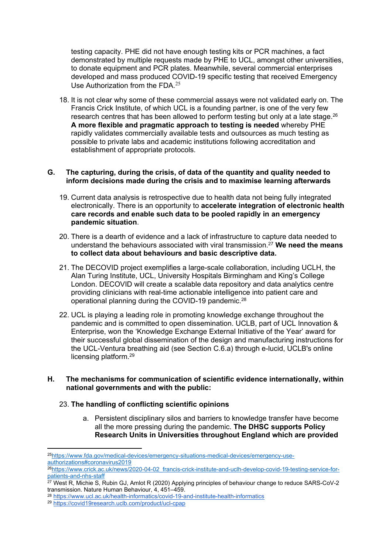testing capacity. PHE did not have enough testing kits or PCR machines, a fact demonstrated by multiple requests made by PHE to UCL, amongst other universities, to donate equipment and PCR plates. Meanwhile, several commercial enterprises developed and mass produced COVID-19 specific testing that received Emergency Use Authorization from the FDA  $25$ 

18. It is not clear why some of these commercial assays were not validated early on. The Francis Crick Institute, of which UCL is a founding partner, is one of the very few research centres that has been allowed to perform testing but only at a late stage.<sup>26</sup> **A more flexible and pragmatic approach to testing is needed** whereby PHE rapidly validates commercially available tests and outsources as much testing as possible to private labs and academic institutions following accreditation and establishment of appropriate protocols.

### **G. The capturing, during the crisis, of data of the quantity and quality needed to inform decisions made during the crisis and to maximise learning afterwards**

- 19. Current data analysis is retrospective due to health data not being fully integrated electronically. There is an opportunity to **accelerate integration of electronic health care records and enable such data to be pooled rapidly in an emergency pandemic situation**.
- 20. There is a dearth of evidence and a lack of infrastructure to capture data needed to understand the behaviours associated with viral transmission.<sup>27</sup> **We need the means to collect data about behaviours and basic descriptive data.**
- 21. The DECOVID project exemplifies a large-scale collaboration, including UCLH, the Alan Turing Institute, UCL, University Hospitals Birmingham and King's College London. DECOVID will create a scalable data repository and data analytics centre providing clinicians with real-time actionable intelligence into patient care and operational planning during the COVID-19 pandemic.<sup>28</sup>
- 22. UCL is playing a leading role in promoting knowledge exchange throughout the pandemic and is committed to open dissemination. UCLB, part of UCL Innovation & Enterprise, won the 'Knowledge Exchange External Initiative of the Year' award for their successful global dissemination of the design and manufacturing instructions for the UCL-Ventura breathing aid (see Section C.6.[a\)](#page-2-0) through e-lucid, UCLB's online licensing platform.<sup>29</sup>
- **H. The mechanisms for communication of scientific evidence internationally, within national governments and with the public:**

# 23. **The handling of conflicting scientific opinions**

a. Persistent disciplinary silos and barriers to knowledge transfer have become all the more pressing during the pandemic. **The DHSC supports Policy Research Units in Universities throughout England which are provided**

<sup>25</sup>[https://www.fda.gov/medical-devices/emergency-situations-medical-devices/emergency-use](https://www.fda.gov/medical-devices/emergency-situations-medical-devices/emergency-use-authorizations#coronavirus2019)[authorizations#coronavirus2019](https://www.fda.gov/medical-devices/emergency-situations-medical-devices/emergency-use-authorizations#coronavirus2019)

<sup>26</sup>[https://www.crick.ac.uk/news/2020-04-02\\_francis-crick-institute-and-uclh-develop-covid-19-testing-service-for](https://www.crick.ac.uk/news/2020-04-02_francis-crick-institute-and-uclh-develop-covid-19-testing-service-for-patients-and-nhs-staff)[patients-and-nhs-staff](https://www.crick.ac.uk/news/2020-04-02_francis-crick-institute-and-uclh-develop-covid-19-testing-service-for-patients-and-nhs-staff)

<sup>27</sup> West R, Michie S, Rubin GJ, Amlot R (2020) Applying principles of behaviour change to reduce SARS-CoV-2 transmission. Nature Human Behaviour, 4, 451–459.

<sup>28</sup> <https://www.ucl.ac.uk/health-informatics/covid-19-and-institute-health-informatics>

<sup>29</sup> <https://covid19research.uclb.com/product/ucl-cpap>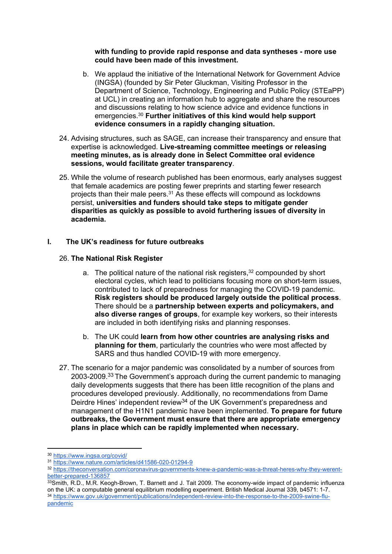#### **with funding to provide rapid response and data syntheses - more use could have been made of this investment.**

- b. We applaud the initiative of the International Network for Government Advice (INGSA) (founded by Sir Peter Gluckman, Visiting Professor in the Department of Science, Technology, Engineering and Public Policy (STEaPP) at UCL) in creating an information hub to aggregate and share the resources and discussions relating to how science advice and evidence functions in emergencies.<sup>30</sup> **Further initiatives of this kind would help support evidence consumers in a rapidly changing situation.**
- 24. Advising structures, such as SAGE, can increase their transparency and ensure that expertise is acknowledged. **Live-streaming committee meetings or releasing meeting minutes, as is already done in Select Committee oral evidence sessions, would facilitate greater transparency**.
- 25. While the volume of research published has been enormous, early analyses suggest that female academics are posting fewer preprints and starting fewer research projects than their male peers.<sup>31</sup> As these effects will compound as lockdowns persist, **universities and funders should take steps to mitigate gender disparities as quickly as possible to avoid furthering issues of diversity in academia.**

# **I. The UK's readiness for future outbreaks**

# 26. **The National Risk Register**

- a. The political nature of the national risk registers,<sup>32</sup> compounded by short electoral cycles, which lead to politicians focusing more on short-term issues, contributed to lack of preparedness for managing the COVID-19 pandemic. **Risk registers should be produced largely outside the political process**. There should be a **partnership between experts and policymakers, and also diverse ranges of groups**, for example key workers, so their interests are included in both identifying risks and planning responses.
- b. The UK could **learn from how other countries are analysing risks and planning for them**, particularly the countries who were most affected by SARS and thus handled COVID-19 with more emergency.
- 27. The scenario for a major pandemic was consolidated by a number of sources from 2003-2009.<sup>33</sup> The Government's approach during the current pandemic to managing daily developments suggests that there has been little recognition of the plans and procedures developed previously. Additionally, no recommendations from Dame Deirdre Hines' independent review<sup>34</sup> of the UK Government's preparedness and management of the H1N1 pandemic have been implemented. **To prepare for future outbreaks, the Government must ensure that there are appropriate emergency plans in place which can be rapidly implemented when necessary.**

<sup>30</sup> <https://www.ingsa.org/covid/>

<sup>31</sup> <https://www.nature.com/articles/d41586-020-01294-9>

<sup>32</sup> [https://theconversation.com/coronavirus-governments-knew-a-pandemic-was-a-threat-heres-why-they-werent](https://theconversation.com/coronavirus-governments-knew-a-pandemic-was-a-threat-heres-why-they-werent-better-prepared-136857)[better-prepared-136857](https://theconversation.com/coronavirus-governments-knew-a-pandemic-was-a-threat-heres-why-they-werent-better-prepared-136857)

<sup>33</sup>Smith, R.D., M.R. Keogh-Brown, T. Barnett and J. Tait 2009. The economy-wide impact of pandemic influenza on the UK: a computable general equilibrium modelling experiment. British Medical Journal 339, b4571: 1-7. <sup>34</sup> [https://www.gov.uk/government/publications/independent-review-into-the-response-to-the-2009-swine-flu](https://www.gov.uk/government/publications/independent-review-into-the-response-to-the-2009-swine-flu-pandemic)[pandemic](https://www.gov.uk/government/publications/independent-review-into-the-response-to-the-2009-swine-flu-pandemic)